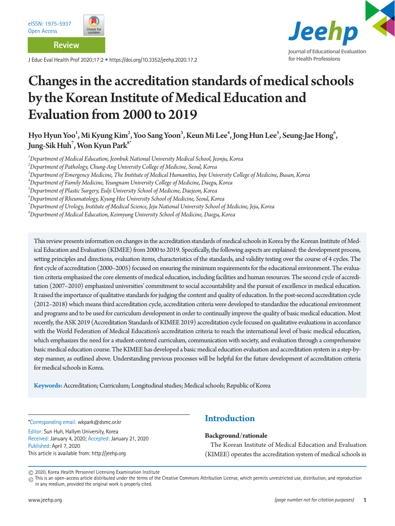

**Review**

J Educ Eval Health Prof 2020;17:2 • https://doi.org/10.3352/jeehp.2020.17.2



# Changes in the accreditation standards of medical schools by the Korean Institute of Medical Education and Evaluation from 2000 to 2019

Hyo Hyun Yoo $^1$ , Mi Kyung Kim $^2$ , Yoo Sang Yoon $^3$ , Keun Mi Lee $^4$ , Jong Hun Lee $^5$ , Seung-Jae Hong $^6$ , Jung-Sik Huh $^7$ , Won Kyun Park $^{\rm 8^*}$ 

*1 Department of Medical Education, Jeonbuk National University Medical School, Jeonju, Korea* 

*2 Department of Pathology, Chung-Ang University College of Medicine, Seoul, Korea* 

*3 Department of Emergency Medicine, The Institute of Medical Humanities, Inje University College of Medicine, Busan, Korea* 

*4 Department of Family Medicine, Yeungnam University College of Medicine, Daegu, Korea* 

*5 Department of Plastic Surgery, Eulji University School of Medicine, Daejeon, Korea* 

*6 Department of Rheumatology, Kyung Hee University School of Medicine, Seoul, Korea* 

*7 Department of Urology, Institute of Medical Science, Jeju National University School of Medicine, Jeju, Korea* 

*8 Department of Medical Education, Keimyung University School of Medicine, Daegu, Korea*

This review presents information on changes in the accreditation standards of medical schools in Korea by the Korean Institute of Medical Education and Evaluation (KIMEE) from 2000 to 2019. Specifically, the following aspects are explained: the development process, setting principles and directions, evaluation items, characteristics of the standards, and validity testing over the course of 4 cycles. The first cycle of accreditation (2000–2005) focused on ensuring the minimum requirements for the educational environment. The evaluation criteria emphasized the core elements of medical education, including facilities and human resources. The second cycle of accreditation (2007–2010) emphasized universities' commitment to social accountability and the pursuit of excellence in medical education. It raised the importance of qualitative standards for judging the content and quality of education. In the post-second accreditation cycle (2012–2018) which means third accreditation cycle, accreditation criteria were developed to standardize the educational environment and programs and to be used for curriculum development in order to continually improve the quality of basic medical education. Most recently, the ASK 2019 (Accreditation Standards of KIMEE 2019) accreditation cycle focused on qualitative evaluations in accordance with the World Federation of Medical Education's accreditation criteria to reach the international level of basic medical education, which emphasizes the need for a student-centered curriculum, communication with society, and evaluation through a comprehensive basic medical education course. The KIMEE has developed a basic medical education evaluation and accreditation system in a step-bystep manner, as outlined above. Understanding previous processes will be helpful for the future development of accreditation criteria for medical schools in Korea.

**Keywords:** Accreditation; Curriculum; Longitudinal studies; Medical schools; Republic of Korea

\*Corresponding email: wkpark@dsmc.or.kr

Editor: Sun Huh, Hallym University, Korea Received: January 4, 2020; Accepted: January 21, 2020 Published: April 7, 2020 This article is available from: http://jeehp.org

### **Introduction**

### **Background/rationale**

The Korean Institute of Medical Education and Evaluation (KIMEE) operates the accreditation system of medical schools in

2020, Korea Health Personnel Licensing Examination Institute

 $_{\copyright}$  This is an open-access article distributed under the terms of the Creative Commons Attribution License, which permits unrestricted use, distribution, and reproduction in any medium, provided the original work is properly cited.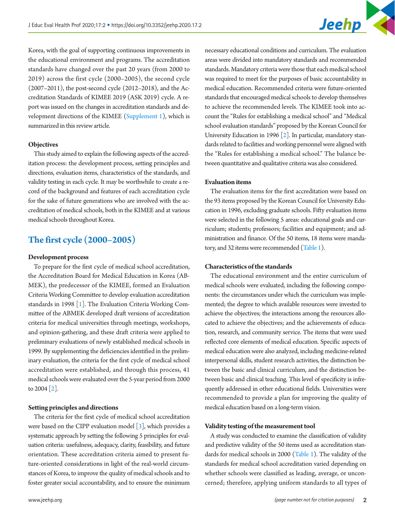Korea, with the goal of supporting continuous improvements in the educational environment and programs. The accreditation standards have changed over the past 20 years (from 2000 to 2019) across the first cycle (2000–2005), the second cycle (2007–2011), the post-second cycle (2012–2018), and the Accreditation Standards of KIMEE 2019 (ASK 2019) cycle. A report was issued on the changes in accreditation standards and development directions of the KIMEE [\(Supplement 1](#page-9-0)), which is summarized in this review article.

#### **Objectives**

This study aimed to explain the following aspects of the accreditation process: the development process, setting principles and directions, evaluation items, characteristics of the standards, and validity testing in each cycle. It may be worthwhile to create a record of the background and features of each accreditation cycle for the sake of future generations who are involved with the accreditation of medical schools, both in the KIMEE and at various medical schools throughout Korea.

### **The first cycle (2000–2005)**

#### **Development process**

To prepare for the first cycle of medical school accreditation, the Accreditation Board for Medical Education in Korea (AB-MEK), the predecessor of the KIMEE, formed an Evaluation Criteria Working Committee to develop evaluation accreditation standards in 1998 [\[1\]](#page-9-1). The Evaluation Criteria Working Committee of the ABMEK developed draft versions of accreditation criteria for medical universities through meetings, workshops, and opinion-gathering, and these draft criteria were applied to preliminary evaluations of newly established medical schools in 1999. By supplementing the deficiencies identified in the preliminary evaluation, the criteria for the first cycle of medical school accreditation were established, and through this process, 41 medical schools were evaluated over the 5-year period from 2000 to  $2004$  [\[2](#page-9-2)].

#### **Setting principles and directions**

The criteria for the first cycle of medical school accreditation were based on the CIPP evaluation model  $\lceil 3 \rceil$ , which provides a systematic approach by setting the following 5 principles for evaluation criteria: usefulness, adequacy, clarity, feasibility, and future orientation. These accreditation criteria aimed to present future-oriented considerations in light of the real-world circumstances of Korea, to improve the quality of medical schools and to foster greater social accountability, and to ensure the minimum necessary educational conditions and curriculum. The evaluation areas were divided into mandatory standards and recommended standards. Mandatory criteria were those that each medical school was required to meet for the purposes of basic accountability in medical education. Recommended criteria were future-oriented standards that encouraged medical schools to develop themselves to achieve the recommended levels. The KIMEE took into account the "Rules for establishing a medical school" and "Medical school evaluation standards" proposed by the Korean Council for University Education in 1996  $\lceil 2 \rceil$ . In particular, mandatory standards related to facilities and working personnel were aligned with the "Rules for establishing a medical school." The balance between quantitative and qualitative criteria was also considered.

#### **Evaluation items**

The evaluation items for the first accreditation were based on the 93 items proposed by the Korean Council for University Education in 1996, excluding graduate schools. Fifty evaluation items were selected in the following 5 areas: educational goals and curriculum; students; professors; facilities and equipment; and administration and finance. Of the 50 items, 18 items were mandatory, and 32 items were recommended [\(Table 1](#page-2-0)).

#### **Characteristics of the standards**

The educational environment and the entire curriculum of medical schools were evaluated, including the following components: the circumstances under which the curriculum was implemented; the degree to which available resources were invested to achieve the objectives; the interactions among the resources allocated to achieve the objectives; and the achievements of education, research, and community service. The items that were used reflected core elements of medical education. Specific aspects of medical education were also analyzed, including medicine-related interpersonal skills, student research activities, the distinction between the basic and clinical curriculum, and the distinction between basic and clinical teaching. This level of specificity is infrequently addressed in other educational fields. Universities were recommended to provide a plan for improving the quality of medical education based on a long-term vision.

#### **Validity testing of the measurement tool**

A study was conducted to examine the classification of validity and predictive validity of the 50 items used as accreditation standards for medical schools in 2000 (Table 1). The validity of the standards for medical school accreditation varied depending on whether schools were classified as leading, average, or unconcerned; therefore, applying uniform standards to all types of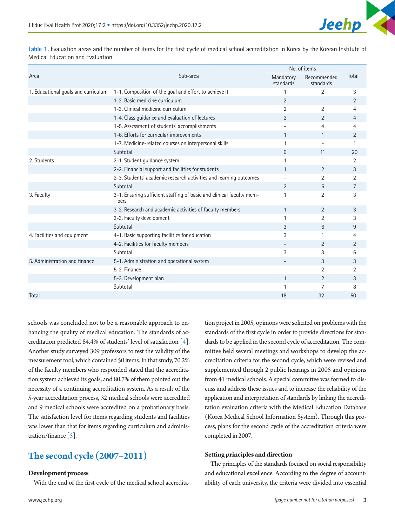Area and a structure of the structure of the structure of the Sub-area structure of the Sub-area No. of items Mandatory Recommended Total standards standards 1. Educational goals and curriculum 1-1. Composition of the goal and effort to achieve it 1 2 3 3 1-2. Basic medicine curriculum and the contract of the contract of the contract of the contract of the contract of the contract of the contract of the contract of the contract of the contract of the contract of the contrac 1-3. Clinical medicine curriculum and the contract of the contract of the contract of the contract of the contract of the contract of the contract of the contract of the contract of the contract of the contract of the cont 1-4. Class guidance and evaluation of lectures 2 2 4 1-5. Assessment of students' accomplishments and the students of the students of the 4 and 4 and 4 and 4 and 4  $\sigma$ 1-6. Efforts for curricular improvements 1 1 1 2 2 1-7. Medicine-related courses on interpersonal skills 1 - 1 - 1 - 1 - 1 - 1 - 1 1 - 1 1 - 1 1 - 1 1 - 1 1 - 1 1 - 1 1 - 1 1 - 1 1 - 1 1 - 1 1 - 1 1 - 1 1 - 1 1 - 1 1 - 1 1 - 1 1 - 1 1 - 1 1 - 1 1 - 1 1 - 1 1 - 1 1 - 1 1 - Subtotal 11 20 2. Students 2-1. Student guidance system 1 1 2 2-2. Financial support and facilities for students 1 2 3 3 2-3. Students' academic research activities and learning outcomes  $\qquad \qquad -$  2 2 2 Subtotal 2 5 7 3. Faculty 3-1. Ensuring sufficient staffing of basic and clinical faculty members 1 2 3 3-2. Research and academic activities of faculty members 1 2 3 3 3-3. Faculty development 1 2 3 Subtotal 3 6 9 4. Facilities and equipment 4-1. Basic supporting facilities for education 3 1 4 4 4-2. Facilities for faculty members and the contract of the contract of the contract of the contract of the contract of the contract of the contract of the contract of the contract of the contract of the contract of the co Subtotal and Subtotal and Subtotal and Subtotal and Subtotal and Subtotal and Subtotal and Subtotal and Subtota 5. Administration and finance 5-1. Administration and operational system - 3 3  $5-2.$  Finance 2 2 2 5-3. Development plan 1 3 3 Subtotal and the set of the set of the set of the set of the set of the set of the set of the set of the set of the set of the set of the set of the set of the set of the set of the set of the set of the set of the set of Total 18  $\,$  32  $\,$  50  $\,$  50  $\,$  50  $\,$  50  $\,$  50  $\,$  50  $\,$  50  $\,$  50  $\,$  50  $\,$  50  $\,$  50  $\,$  50  $\,$  50  $\,$  50  $\,$  50  $\,$  50  $\,$  50  $\,$  50  $\,$  50  $\,$  50  $\,$  50  $\,$  50  $\,$  50  $\,$  50  $\,$  50  $\,$ 

<span id="page-2-0"></span>**Table 1.** Evaluation areas and the number of items for the first cycle of medical school accreditation in Korea by the Korean Institute of Medical Education and Evaluation

schools was concluded not to be a reasonable approach to enhancing the quality of medical education. The standards of accreditation predicted 84.4% of students' level of satisfaction  $\lceil 4 \rceil$ . Another study surveyed 309 professors to test the validity of the measurement tool, which contained 50 items. In that study, 70.2% of the faculty members who responded stated that the accreditation system achieved its goals, and 80.7% of them pointed out the necessity of a continuing accreditation system. As a result of the 5-year accreditation process, 32 medical schools were accredited and 9 medical schools were accredited on a probationary basis. The satisfaction level for items regarding students and facilities was lower than that for items regarding curriculum and administration/finance  $\lceil 5 \rceil$ .

# **The second cycle (2007–2011)**

#### **Development process**

With the end of the first cycle of the medical school accredita-

tion project in 2005, opinions were solicited on problems with the standards of the first cycle in order to provide directions for standards to be applied in the second cycle of accreditation. The committee held several meetings and workshops to develop the accreditation criteria for the second cycle, which were revised and supplemented through 2 public hearings in 2005 and opinions from 41 medical schools. A special committee was formed to discuss and address these issues and to increase the reliability of the application and interpretation of standards by linking the accreditation evaluation criteria with the Medical Education Database (Korea Medical School Information System). Through this process, plans for the second cycle of the accreditation criteria were completed in 2007.

#### **Setting principles and direction**

The principles of the standards focused on social responsibility and educational excellence. According to the degree of accountability of each university, the criteria were divided into essential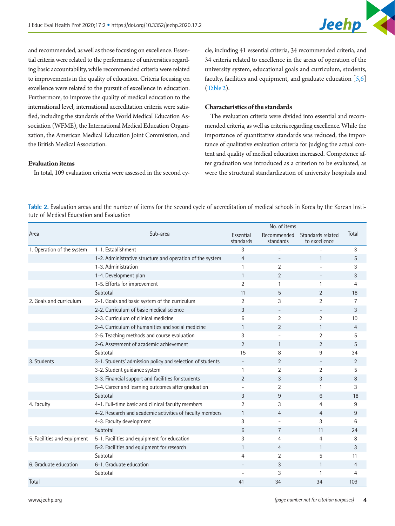and recommended, as well as those focusing on excellence. Essential criteria were related to the performance of universities regarding basic accountability, while recommended criteria were related to improvements in the quality of education. Criteria focusing on excellence were related to the pursuit of excellence in education. Furthermore, to improve the quality of medical education to the international level, international accreditation criteria were satisfied, including the standards of the World Medical Education Association (WFME), the International Medical Education Organization, the American Medical Education Joint Commission, and the British Medical Association.

### **Evaluation items**

In total, 109 evaluation criteria were assessed in the second cy-

cle, including 41 essential criteria, 34 recommended criteria, and 34 criteria related to excellence in the areas of operation of the university system, educational goals and curriculum, students, faculty, facilities and equipment, and graduate education  $[5,6]$  $[5,6]$  $[5,6]$ [\(Table 2](#page-3-0)).

#### **Characteristics of the standards**

The evaluation criteria were divided into essential and recommended criteria, as well as criteria regarding excellence. While the importance of quantitative standards was reduced, the importance of qualitative evaluation criteria for judging the actual content and quality of medical education increased. Competence after graduation was introduced as a criterion to be evaluated, as were the structural standardization of university hospitals and

<span id="page-3-0"></span>**Table 2.** Evaluation areas and the number of items for the second cycle of accreditation of medical schools in Korea by the Korean Institute of Medical Education and Evaluation

|                             | Sub-area                                                  | No. of items           |                          |                                    |                |
|-----------------------------|-----------------------------------------------------------|------------------------|--------------------------|------------------------------------|----------------|
| Area                        |                                                           | Essential<br>standards | Recommended<br>standards | Standards related<br>to excellence | Total          |
| 1. Operation of the system  | 1-1. Establishment                                        | 3                      |                          |                                    | 3              |
|                             | 1-2. Administrative structure and operation of the system | $\overline{4}$         |                          | $\mathbf{1}$                       | 5              |
|                             | 1-3. Administration                                       | $\mathbf{1}$           | $\overline{2}$           |                                    | 3              |
|                             | 1-4. Development plan                                     | $\mathbf{1}$           | 2                        |                                    | 3              |
|                             | 1-5. Efforts for improvement                              | $\overline{2}$         | 1                        | $\mathbf{1}$                       | 4              |
|                             | Subtotal                                                  | 11                     | 5                        | 2                                  | 18             |
| 2. Goals and curriculum     | 2-1. Goals and basic system of the curriculum             | $\overline{2}$         | 3                        | $\overline{2}$                     | 7              |
|                             | 2-2. Curriculum of basic medical science                  | 3                      | $\overline{\phantom{a}}$ |                                    | 3              |
|                             | 2-3. Curriculum of clinical medicine                      | 6                      | $\overline{2}$           | $\overline{2}$                     | 10             |
|                             | 2-4. Curriculum of humanities and social medicine         | $\mathbf{1}$           | 2                        | $\mathbf{1}$                       | 4              |
|                             | 2-5. Teaching methods and course evaluation               | 3                      |                          | 2                                  | 5              |
|                             | 2-6. Assessment of academic achievement                   | $\overline{2}$         | 1                        | 2                                  | 5              |
|                             | Subtotal                                                  | 15                     | 8                        | 9                                  | 34             |
| 3. Students                 | 3-1. Students' admission policy and selection of students |                        | 2                        |                                    | $\overline{2}$ |
|                             | 3-2. Student guidance system                              | 1                      | $\overline{2}$           | $\overline{2}$                     | 5              |
|                             | 3-3. Financial support and facilities for students        | $\mathfrak{D}$         | 3                        | 3                                  | 8              |
|                             | 3-4. Career and learning outcomes after graduation        |                        | 2                        | 1                                  | 3              |
|                             | Subtotal                                                  | 3                      | 9                        | 6                                  | 18             |
| 4. Faculty                  | 4-1. Full-time basic and clinical faculty members         | $\overline{2}$         | 3                        | 4                                  | 9              |
|                             | 4-2. Research and academic activities of faculty members  | 1                      | 4                        | 4                                  | 9              |
|                             | 4-3. Faculty development                                  | 3                      |                          | 3                                  | 6              |
|                             | Subtotal                                                  | 6                      | 7                        | 11                                 | 24             |
| 5. Facilities and equipment | 5-1. Facilities and equipment for education               | 3                      | 4                        | 4                                  | 8              |
|                             | 5-2. Facilities and equipment for research                | 1                      | $\overline{4}$           | $\mathbf{1}$                       | 3              |
|                             | Subtotal                                                  | $\overline{4}$         | $\overline{2}$           | 5                                  | 11             |
| 6. Graduate education       | 6-1. Graduate education                                   |                        | 3                        | $\mathbf{1}$                       | 4              |
|                             | Subtotal                                                  |                        | 3                        | $\mathbf{1}$                       | 4              |
| Total                       |                                                           | 41                     | 34                       | 34                                 | 109            |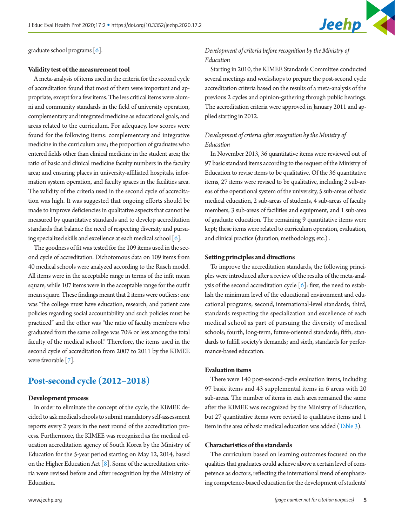

graduate school programs [6].

#### **Validity test of the measurement tool**

A meta-analysis of items used in the criteria for the second cycle of accreditation found that most of them were important and appropriate, except for a few items. The less critical items were alumni and community standards in the field of university operation, complementary and integrated medicine as educational goals, and areas related to the curriculum. For adequacy, low scores were found for the following items: complementary and integrative medicine in the curriculum area; the proportion of graduates who entered fields other than clinical medicine in the student area; the ratio of basic and clinical medicine faculty numbers in the faculty area; and ensuring places in university-affiliated hospitals, information system operation, and faculty spaces in the facilities area. The validity of the criteria used in the second cycle of accreditation was high. It was suggested that ongoing efforts should be made to improve deficiencies in qualitative aspects that cannot be measured by quantitative standards and to develop accreditation standards that balance the need of respecting diversity and pursuing specialized skills and excellence at each medical school [6].

The goodness of fit was tested for the 109 items used in the second cycle of accreditation. Dichotomous data on 109 items from 40 medical schools were analyzed according to the Rasch model. All items were in the acceptable range in terms of the infit mean square, while 107 items were in the acceptable range for the outfit mean square. These findings meant that 2 items were outliers: one was "the college must have education, research, and patient care policies regarding social accountability and such policies must be practiced" and the other was "the ratio of faculty members who graduated from the same college was 70% or less among the total faculty of the medical school." Therefore, the items used in the second cycle of accreditation from 2007 to 2011 by the KIMEE were favorable [\[7](#page-9-7)].

### **Post-second cycle (2012–2018)**

#### **Development process**

In order to eliminate the concept of the cycle, the KIMEE decided to ask medical schools to submit mandatory self-assessment reports every 2 years in the next round of the accreditation process. Furthermore, the KIMEE was recognized as the medical education accreditation agency of South Korea by the Ministry of Education for the 5-year period starting on May 12, 2014, based on the Higher Education Act  $[8]$  $[8]$ . Some of the accreditation criteria were revised before and after recognition by the Ministry of Education.

### *Development of criteria before recognition by the Ministry of Education*

Starting in 2010, the KIMEE Standards Committee conducted several meetings and workshops to prepare the post-second cycle accreditation criteria based on the results of a meta-analysis of the previous 2 cycles and opinion-gathering through public hearings. The accreditation criteria were approved in January 2011 and applied starting in 2012.

### *Development of criteria after recognition by the Ministry of Education*

In November 2013, 36 quantitative items were reviewed out of 97 basic standard items according to the request of the Ministry of Education to revise items to be qualitative. Of the 36 quantitative items, 27 items were revised to be qualitative, including 2 sub-areas of the operational system of the university, 5 sub-areas of basic medical education, 2 sub-areas of students, 4 sub-areas of faculty members, 3 sub-areas of facilities and equipment, and 1 sub-area of graduate education. The remaining 9 quantitative items were kept; these items were related to curriculum operation, evaluation, and clinical practice (duration, methodology, etc.) .

#### **Setting principles and directions**

To improve the accreditation standards, the following principles were introduced after a review of the results of the meta-analysis of the second accreditation cycle  $[6]$ : first, the need to establish the minimum level of the educational environment and educational programs; second, international-level standards; third, standards respecting the specialization and excellence of each medical school as part of pursuing the diversity of medical schools; fourth, long-term, future-oriented standards; fifth, standards to fulfill society's demands; and sixth, standards for performance-based education.

#### **Evaluation items**

There were 140 post-second-cycle evaluation items, including 97 basic items and 43 supplemental items in 6 areas with 20 sub-areas. The number of items in each area remained the same after the KIMEE was recognized by the Ministry of Education, but 27 quantitative items were revised to qualitative items and 1 item in the area of basic medical education was added [\(Table 3](#page-5-0)).

#### **Characteristics of the standards**

The curriculum based on learning outcomes focused on the qualities that graduates could achieve above a certain level of competence as doctors, reflecting the international trend of emphasizing competence-based education for the development of students'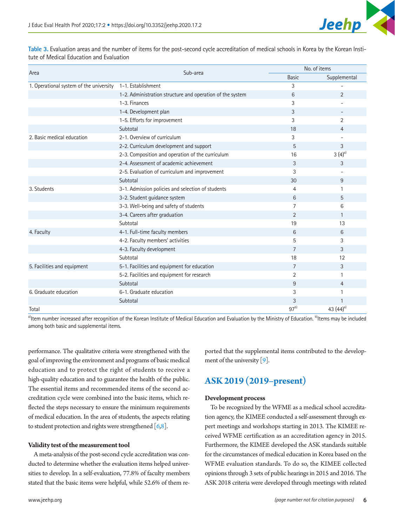<span id="page-5-0"></span>**Table 3.** Evaluation areas and the number of items for the post-second cycle accreditation of medical schools in Korea by the Korean Institute of Medical Education and Evaluation

| Area                                    | Sub-area                                                  |                | No. of items             |  |  |
|-----------------------------------------|-----------------------------------------------------------|----------------|--------------------------|--|--|
|                                         |                                                           | <b>Basic</b>   | Supplemental             |  |  |
| 1. Operational system of the university | 1-1. Establishment                                        | 3              |                          |  |  |
|                                         | 1-2. Administration structure and operation of the system | 6              | $\overline{2}$           |  |  |
|                                         | 1-3. Finances                                             | 3              |                          |  |  |
|                                         | 1-4. Development plan                                     | 3              | $\overline{\phantom{a}}$ |  |  |
|                                         | 1-5. Efforts for improvement                              | 3              | 2                        |  |  |
|                                         | Subtotal                                                  | 18             | 4                        |  |  |
| 2. Basic medical education              | 2-1. Overview of curriculum                               | 3              |                          |  |  |
|                                         | 2-2. Curriculum development and support                   | 5              | 3                        |  |  |
|                                         | 2-3. Composition and operation of the curriculum          | 16             | $3(4)^{a}$               |  |  |
|                                         | 2-4. Assessment of academic achievement                   | 3              | 3                        |  |  |
|                                         | 2-5. Evaluation of curriculum and improvement             | 3              |                          |  |  |
|                                         | Subtotal                                                  | 30             | 9                        |  |  |
| 3. Students                             | 3-1. Admission policies and selection of students         | 4              | 1                        |  |  |
|                                         | 3-2. Student guidance system                              | 6              | 5                        |  |  |
|                                         | 3-3. Well-being and safety of students                    | $\overline{7}$ | 6                        |  |  |
|                                         | 3-4. Careers after graduation                             | $\overline{2}$ | $\mathbf{1}$             |  |  |
|                                         | Subtotal                                                  | 19             | 13                       |  |  |
| 4. Faculty                              | 4-1. Full-time faculty members                            | 6              | 6                        |  |  |
|                                         | 4-2. Faculty members' activities                          | 5              | 3                        |  |  |
|                                         | 4-3. Faculty development                                  | 7              | 3                        |  |  |
|                                         | Subtotal                                                  | 18             | 12                       |  |  |
| 5. Facilities and equipment             | 5-1. Facilities and equipment for education               | 7              | 3                        |  |  |
|                                         | 5-2. Facilities and equipment for research                | $\overline{2}$ | 1                        |  |  |
|                                         | Subtotal                                                  | 9              | 4                        |  |  |
| 6. Graduate education                   | 6-1. Graduate education                                   | 3              | 1                        |  |  |
|                                         | Subtotal                                                  | 3              | 1                        |  |  |
| Total                                   |                                                           | $97^{b}$       | 43 $(44)^{a}$            |  |  |

a)Item number increased after recognition of the Korean Institute of Medical Education and Evaluation by the Ministry of Education. <sup>b</sup>Items may be included among both basic and supplemental items.

performance. The qualitative criteria were strengthened with the goal of improving the environment and programs of basic medical education and to protect the right of students to receive a high-quality education and to guarantee the health of the public. The essential items and recommended items of the second accreditation cycle were combined into the basic items, which reflected the steps necessary to ensure the minimum requirements of medical education. In the area of students, the aspects relating to student protection and rights were strengthened  $[6,8]$ .

#### **Validity test of the measurement tool**

A meta-analysis of the post-second cycle accreditation was conducted to determine whether the evaluation items helped universities to develop. In a self-evaluation, 77.8% of faculty members stated that the basic items were helpful, while 52.6% of them re-

ported that the supplemental items contributed to the development of the university [\[9\]](#page-9-9).

# **ASK 2019 (2019–present)**

#### **Development process**

To be recognized by the WFME as a medical school accreditation agency, the KIMEE conducted a self-assessment through expert meetings and workshops starting in 2013. The KIMEE received WFME certification as an accreditation agency in 2015. Furthermore, the KIMEE developed the ASK standards suitable for the circumstances of medical education in Korea based on the WFME evaluation standards. To do so, the KIMEE collected opinions through 3 sets of public hearings in 2015 and 2016. The ASK 2018 criteria were developed through meetings with related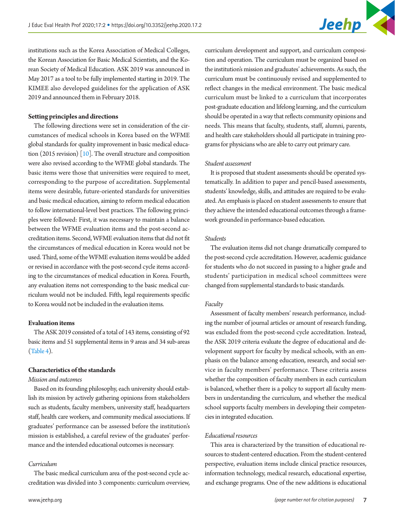institutions such as the Korea Association of Medical Colleges, the Korean Association for Basic Medical Scientists, and the Korean Society of Medical Education. ASK 2019 was announced in May 2017 as a tool to be fully implemented starting in 2019. The KIMEE also developed guidelines for the application of ASK 2019 and announced them in February 2018.

#### **Setting principles and directions**

The following directions were set in consideration of the circumstances of medical schools in Korea based on the WFME global standards for quality improvement in basic medical education (2015 revision)  $[10]$ . The overall structure and composition were also revised according to the WFME global standards. The basic items were those that universities were required to meet, corresponding to the purpose of accreditation. Supplemental items were desirable, future-oriented standards for universities and basic medical education, aiming to reform medical education to follow international-level best practices. The following principles were followed: First, it was necessary to maintain a balance between the WFME evaluation items and the post-second accreditation items. Second, WFME evaluation items that did not fit the circumstances of medical education in Korea would not be used. Third, some of the WFME evaluation items would be added or revised in accordance with the post-second cycle items according to the circumstances of medical education in Korea. Fourth, any evaluation items not corresponding to the basic medical curriculum would not be included. Fifth, legal requirements specific to Korea would not be included in the evaluation items.

#### **Evaluation items**

The ASK 2019 consisted of a total of 143 items, consisting of 92 basic items and 51 supplemental items in 9 areas and 34 sub-areas [\(Table 4](#page-7-0)).

#### **Characteristics of the standards**

#### *Mission and outcomes*

Based on its founding philosophy, each university should establish its mission by actively gathering opinions from stakeholders such as students, faculty members, university staff, headquarters staff, health care workers, and community medical associations. If graduates' performance can be assessed before the institution's mission is established, a careful review of the graduates' performance and the intended educational outcomes is necessary.

#### *Curriculum*

The basic medical curriculum area of the post-second cycle accreditation was divided into 3 components: curriculum overview,

curriculum development and support, and curriculum composition and operation. The curriculum must be organized based on the institution's mission and graduates' achievements. As such, the curriculum must be continuously revised and supplemented to reflect changes in the medical environment. The basic medical curriculum must be linked to a curriculum that incorporates post-graduate education and lifelong learning, and the curriculum should be operated in a way that reflects community opinions and needs. This means that faculty, students, staff, alumni, parents, and health care stakeholders should all participate in training programs for physicians who are able to carry out primary care.

#### *Student assessment*

It is proposed that student assessments should be operated systematically. In addition to paper and pencil-based assessments, students' knowledge, skills, and attitudes are required to be evaluated. An emphasis is placed on student assessments to ensure that they achieve the intended educational outcomes through a framework grounded in performance-based education.

#### *Students*

The evaluation items did not change dramatically compared to the post-second cycle accreditation. However, academic guidance for students who do not succeed in passing to a higher grade and students' participation in medical school committees were changed from supplemental standards to basic standards.

#### *Faculty*

Assessment of faculty members' research performance, including the number of journal articles or amount of research funding, was excluded from the post-second cycle accreditation. Instead, the ASK 2019 criteria evaluate the degree of educational and development support for faculty by medical schools, with an emphasis on the balance among education, research, and social service in faculty members' performance. These criteria assess whether the composition of faculty members in each curriculum is balanced, whether there is a policy to support all faculty members in understanding the curriculum, and whether the medical school supports faculty members in developing their competencies in integrated education.

#### *Educational resources*

This area is characterized by the transition of educational resources to student-centered education. From the student-centered perspective, evaluation items include clinical practice resources, information technology, medical research, educational expertise, and exchange programs. One of the new additions is educational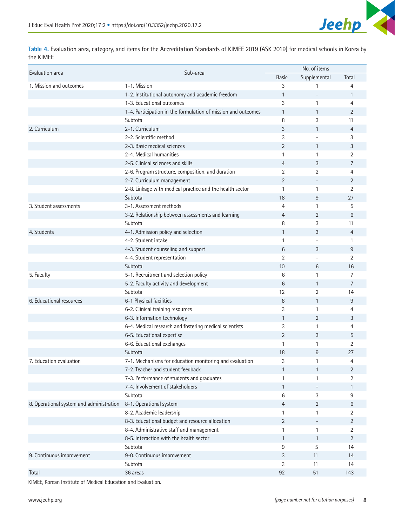

<span id="page-7-0"></span>**Table 4.** Evaluation area, category, and items for the Accreditation Standards of KIMEE 2019 (ASK 2019) for medical schools in Korea by the KIMEE

| Sub-area<br>Supplemental<br>Total<br><b>Basic</b><br>1-1. Mission<br>3<br>4<br>1-2. Institutional autonomy and academic freedom<br>1<br>1<br>1-3. Educational outcomes<br>3<br>$\mathbf{1}$<br>$\overline{4}$<br>1-4. Participation in the formulation of mission and outcomes<br>$\overline{2}$<br>$\mathbf{1}$<br>$\mathbf{1}$<br>Subtotal<br>8<br>3<br>11<br>2-1. Curriculum<br>3<br>$\overline{4}$<br>$\mathbf{1}$<br>2-2. Scientific method<br>3<br>3<br>2-3. Basic medical sciences<br>2<br>3<br>$\mathbf{1}$<br>2-4. Medical humanities<br>$\mathbf{1}$<br>$\overline{2}$<br>1<br>2-5. Clinical sciences and skills<br>$\overline{4}$<br>3<br>$\overline{7}$<br>2-6. Program structure, composition, and duration<br>2<br>2<br>4<br>2<br>2-7. Curriculum management<br>2<br>2-8. Linkage with medical practice and the health sector<br>$\overline{2}$<br>1<br>$\mathbf{1}$<br>Subtotal<br>27<br>18<br>9<br>3-1. Assessment methods<br>5<br>4<br>1<br>6<br>3-2. Relationship between assessments and learning<br>4<br>2<br>Subtotal<br>8<br>11<br>3<br>4-1. Admission policy and selection<br>1<br>3<br>$\overline{4}$<br>4-2. Student intake<br>1<br>1<br>4-3. Student counseling and support<br>6<br>9<br>3<br>4-4. Student representation<br>$\overline{2}$<br>$\overline{2}$<br>Subtotal<br>16<br>10<br>6<br>5-1. Recruitment and selection policy<br>6<br>7<br>$\mathbf{1}$<br>5-2. Faculty activity and development<br>$\overline{7}$<br>6<br>$\mathbf{1}$<br>Subtotal<br>2<br>12<br>14<br>6-1 Physical facilities<br>8<br>9<br>$\mathbf{1}$<br>6-2. Clinical training resources<br>3<br>$\overline{4}$<br>1<br>6-3. Information technology<br>3<br>$\mathbf{1}$<br>$\overline{2}$<br>6-4. Medical research and fostering medical scientists<br>3<br>1<br>4<br>6-5. Educational expertise<br>$\overline{2}$<br>3<br>5<br>6-6. Educational exchanges<br>2<br>1<br>1<br>Subtotal<br>18<br>27<br>9<br>3<br>7-1. Mechanisms for education monitoring and evaluation<br>$\mathbf{1}$<br>$\overline{4}$<br>7-2. Teacher and student feedback<br>$\mathbf{1}$<br>2<br>$\mathbf{1}$<br>7-3. Performance of students and graduates<br>1<br>2<br>1<br>7-4. Involvement of stakeholders<br>$\mathbf{1}$<br>1<br>Subtotal<br>6<br>3<br>9<br>8-1. Operational system<br>$\overline{4}$<br>$\overline{2}$<br>6<br>8-2. Academic leadership<br>$\mathbf{1}$<br>2<br>1<br>8-3. Educational budget and resource allocation<br>$\overline{2}$<br>2<br>8-4. Administrative staff and management<br>$\mathbf{1}$<br>$\mathbf{1}$<br>2<br>8-5. Interaction with the health sector<br>$\mathbf{1}$<br>2<br>$\mathbf{1}$<br>Subtotal<br>9<br>5<br>14<br>9-0. Continuous improvement<br>3<br>11<br>14<br>3<br>Subtotal<br>11<br>14 |                                          |  | No. of items |  |  |
|-------------------------------------------------------------------------------------------------------------------------------------------------------------------------------------------------------------------------------------------------------------------------------------------------------------------------------------------------------------------------------------------------------------------------------------------------------------------------------------------------------------------------------------------------------------------------------------------------------------------------------------------------------------------------------------------------------------------------------------------------------------------------------------------------------------------------------------------------------------------------------------------------------------------------------------------------------------------------------------------------------------------------------------------------------------------------------------------------------------------------------------------------------------------------------------------------------------------------------------------------------------------------------------------------------------------------------------------------------------------------------------------------------------------------------------------------------------------------------------------------------------------------------------------------------------------------------------------------------------------------------------------------------------------------------------------------------------------------------------------------------------------------------------------------------------------------------------------------------------------------------------------------------------------------------------------------------------------------------------------------------------------------------------------------------------------------------------------------------------------------------------------------------------------------------------------------------------------------------------------------------------------------------------------------------------------------------------------------------------------------------------------------------------------------------------------------------------------------------------------------------------------------------------------------------------------------------------------------------------------------------------------------------------------------------------------------------------------------|------------------------------------------|--|--------------|--|--|
|                                                                                                                                                                                                                                                                                                                                                                                                                                                                                                                                                                                                                                                                                                                                                                                                                                                                                                                                                                                                                                                                                                                                                                                                                                                                                                                                                                                                                                                                                                                                                                                                                                                                                                                                                                                                                                                                                                                                                                                                                                                                                                                                                                                                                                                                                                                                                                                                                                                                                                                                                                                                                                                                                                                         | Evaluation area                          |  |              |  |  |
|                                                                                                                                                                                                                                                                                                                                                                                                                                                                                                                                                                                                                                                                                                                                                                                                                                                                                                                                                                                                                                                                                                                                                                                                                                                                                                                                                                                                                                                                                                                                                                                                                                                                                                                                                                                                                                                                                                                                                                                                                                                                                                                                                                                                                                                                                                                                                                                                                                                                                                                                                                                                                                                                                                                         | 1. Mission and outcomes                  |  |              |  |  |
|                                                                                                                                                                                                                                                                                                                                                                                                                                                                                                                                                                                                                                                                                                                                                                                                                                                                                                                                                                                                                                                                                                                                                                                                                                                                                                                                                                                                                                                                                                                                                                                                                                                                                                                                                                                                                                                                                                                                                                                                                                                                                                                                                                                                                                                                                                                                                                                                                                                                                                                                                                                                                                                                                                                         |                                          |  |              |  |  |
|                                                                                                                                                                                                                                                                                                                                                                                                                                                                                                                                                                                                                                                                                                                                                                                                                                                                                                                                                                                                                                                                                                                                                                                                                                                                                                                                                                                                                                                                                                                                                                                                                                                                                                                                                                                                                                                                                                                                                                                                                                                                                                                                                                                                                                                                                                                                                                                                                                                                                                                                                                                                                                                                                                                         |                                          |  |              |  |  |
|                                                                                                                                                                                                                                                                                                                                                                                                                                                                                                                                                                                                                                                                                                                                                                                                                                                                                                                                                                                                                                                                                                                                                                                                                                                                                                                                                                                                                                                                                                                                                                                                                                                                                                                                                                                                                                                                                                                                                                                                                                                                                                                                                                                                                                                                                                                                                                                                                                                                                                                                                                                                                                                                                                                         |                                          |  |              |  |  |
|                                                                                                                                                                                                                                                                                                                                                                                                                                                                                                                                                                                                                                                                                                                                                                                                                                                                                                                                                                                                                                                                                                                                                                                                                                                                                                                                                                                                                                                                                                                                                                                                                                                                                                                                                                                                                                                                                                                                                                                                                                                                                                                                                                                                                                                                                                                                                                                                                                                                                                                                                                                                                                                                                                                         |                                          |  |              |  |  |
|                                                                                                                                                                                                                                                                                                                                                                                                                                                                                                                                                                                                                                                                                                                                                                                                                                                                                                                                                                                                                                                                                                                                                                                                                                                                                                                                                                                                                                                                                                                                                                                                                                                                                                                                                                                                                                                                                                                                                                                                                                                                                                                                                                                                                                                                                                                                                                                                                                                                                                                                                                                                                                                                                                                         | 2. Curriculum                            |  |              |  |  |
|                                                                                                                                                                                                                                                                                                                                                                                                                                                                                                                                                                                                                                                                                                                                                                                                                                                                                                                                                                                                                                                                                                                                                                                                                                                                                                                                                                                                                                                                                                                                                                                                                                                                                                                                                                                                                                                                                                                                                                                                                                                                                                                                                                                                                                                                                                                                                                                                                                                                                                                                                                                                                                                                                                                         |                                          |  |              |  |  |
|                                                                                                                                                                                                                                                                                                                                                                                                                                                                                                                                                                                                                                                                                                                                                                                                                                                                                                                                                                                                                                                                                                                                                                                                                                                                                                                                                                                                                                                                                                                                                                                                                                                                                                                                                                                                                                                                                                                                                                                                                                                                                                                                                                                                                                                                                                                                                                                                                                                                                                                                                                                                                                                                                                                         |                                          |  |              |  |  |
|                                                                                                                                                                                                                                                                                                                                                                                                                                                                                                                                                                                                                                                                                                                                                                                                                                                                                                                                                                                                                                                                                                                                                                                                                                                                                                                                                                                                                                                                                                                                                                                                                                                                                                                                                                                                                                                                                                                                                                                                                                                                                                                                                                                                                                                                                                                                                                                                                                                                                                                                                                                                                                                                                                                         |                                          |  |              |  |  |
|                                                                                                                                                                                                                                                                                                                                                                                                                                                                                                                                                                                                                                                                                                                                                                                                                                                                                                                                                                                                                                                                                                                                                                                                                                                                                                                                                                                                                                                                                                                                                                                                                                                                                                                                                                                                                                                                                                                                                                                                                                                                                                                                                                                                                                                                                                                                                                                                                                                                                                                                                                                                                                                                                                                         |                                          |  |              |  |  |
|                                                                                                                                                                                                                                                                                                                                                                                                                                                                                                                                                                                                                                                                                                                                                                                                                                                                                                                                                                                                                                                                                                                                                                                                                                                                                                                                                                                                                                                                                                                                                                                                                                                                                                                                                                                                                                                                                                                                                                                                                                                                                                                                                                                                                                                                                                                                                                                                                                                                                                                                                                                                                                                                                                                         |                                          |  |              |  |  |
|                                                                                                                                                                                                                                                                                                                                                                                                                                                                                                                                                                                                                                                                                                                                                                                                                                                                                                                                                                                                                                                                                                                                                                                                                                                                                                                                                                                                                                                                                                                                                                                                                                                                                                                                                                                                                                                                                                                                                                                                                                                                                                                                                                                                                                                                                                                                                                                                                                                                                                                                                                                                                                                                                                                         |                                          |  |              |  |  |
|                                                                                                                                                                                                                                                                                                                                                                                                                                                                                                                                                                                                                                                                                                                                                                                                                                                                                                                                                                                                                                                                                                                                                                                                                                                                                                                                                                                                                                                                                                                                                                                                                                                                                                                                                                                                                                                                                                                                                                                                                                                                                                                                                                                                                                                                                                                                                                                                                                                                                                                                                                                                                                                                                                                         |                                          |  |              |  |  |
|                                                                                                                                                                                                                                                                                                                                                                                                                                                                                                                                                                                                                                                                                                                                                                                                                                                                                                                                                                                                                                                                                                                                                                                                                                                                                                                                                                                                                                                                                                                                                                                                                                                                                                                                                                                                                                                                                                                                                                                                                                                                                                                                                                                                                                                                                                                                                                                                                                                                                                                                                                                                                                                                                                                         |                                          |  |              |  |  |
|                                                                                                                                                                                                                                                                                                                                                                                                                                                                                                                                                                                                                                                                                                                                                                                                                                                                                                                                                                                                                                                                                                                                                                                                                                                                                                                                                                                                                                                                                                                                                                                                                                                                                                                                                                                                                                                                                                                                                                                                                                                                                                                                                                                                                                                                                                                                                                                                                                                                                                                                                                                                                                                                                                                         | 3. Student assessments                   |  |              |  |  |
|                                                                                                                                                                                                                                                                                                                                                                                                                                                                                                                                                                                                                                                                                                                                                                                                                                                                                                                                                                                                                                                                                                                                                                                                                                                                                                                                                                                                                                                                                                                                                                                                                                                                                                                                                                                                                                                                                                                                                                                                                                                                                                                                                                                                                                                                                                                                                                                                                                                                                                                                                                                                                                                                                                                         |                                          |  |              |  |  |
|                                                                                                                                                                                                                                                                                                                                                                                                                                                                                                                                                                                                                                                                                                                                                                                                                                                                                                                                                                                                                                                                                                                                                                                                                                                                                                                                                                                                                                                                                                                                                                                                                                                                                                                                                                                                                                                                                                                                                                                                                                                                                                                                                                                                                                                                                                                                                                                                                                                                                                                                                                                                                                                                                                                         |                                          |  |              |  |  |
|                                                                                                                                                                                                                                                                                                                                                                                                                                                                                                                                                                                                                                                                                                                                                                                                                                                                                                                                                                                                                                                                                                                                                                                                                                                                                                                                                                                                                                                                                                                                                                                                                                                                                                                                                                                                                                                                                                                                                                                                                                                                                                                                                                                                                                                                                                                                                                                                                                                                                                                                                                                                                                                                                                                         | 4. Students                              |  |              |  |  |
|                                                                                                                                                                                                                                                                                                                                                                                                                                                                                                                                                                                                                                                                                                                                                                                                                                                                                                                                                                                                                                                                                                                                                                                                                                                                                                                                                                                                                                                                                                                                                                                                                                                                                                                                                                                                                                                                                                                                                                                                                                                                                                                                                                                                                                                                                                                                                                                                                                                                                                                                                                                                                                                                                                                         |                                          |  |              |  |  |
|                                                                                                                                                                                                                                                                                                                                                                                                                                                                                                                                                                                                                                                                                                                                                                                                                                                                                                                                                                                                                                                                                                                                                                                                                                                                                                                                                                                                                                                                                                                                                                                                                                                                                                                                                                                                                                                                                                                                                                                                                                                                                                                                                                                                                                                                                                                                                                                                                                                                                                                                                                                                                                                                                                                         |                                          |  |              |  |  |
|                                                                                                                                                                                                                                                                                                                                                                                                                                                                                                                                                                                                                                                                                                                                                                                                                                                                                                                                                                                                                                                                                                                                                                                                                                                                                                                                                                                                                                                                                                                                                                                                                                                                                                                                                                                                                                                                                                                                                                                                                                                                                                                                                                                                                                                                                                                                                                                                                                                                                                                                                                                                                                                                                                                         |                                          |  |              |  |  |
|                                                                                                                                                                                                                                                                                                                                                                                                                                                                                                                                                                                                                                                                                                                                                                                                                                                                                                                                                                                                                                                                                                                                                                                                                                                                                                                                                                                                                                                                                                                                                                                                                                                                                                                                                                                                                                                                                                                                                                                                                                                                                                                                                                                                                                                                                                                                                                                                                                                                                                                                                                                                                                                                                                                         |                                          |  |              |  |  |
|                                                                                                                                                                                                                                                                                                                                                                                                                                                                                                                                                                                                                                                                                                                                                                                                                                                                                                                                                                                                                                                                                                                                                                                                                                                                                                                                                                                                                                                                                                                                                                                                                                                                                                                                                                                                                                                                                                                                                                                                                                                                                                                                                                                                                                                                                                                                                                                                                                                                                                                                                                                                                                                                                                                         | 5. Faculty                               |  |              |  |  |
|                                                                                                                                                                                                                                                                                                                                                                                                                                                                                                                                                                                                                                                                                                                                                                                                                                                                                                                                                                                                                                                                                                                                                                                                                                                                                                                                                                                                                                                                                                                                                                                                                                                                                                                                                                                                                                                                                                                                                                                                                                                                                                                                                                                                                                                                                                                                                                                                                                                                                                                                                                                                                                                                                                                         |                                          |  |              |  |  |
|                                                                                                                                                                                                                                                                                                                                                                                                                                                                                                                                                                                                                                                                                                                                                                                                                                                                                                                                                                                                                                                                                                                                                                                                                                                                                                                                                                                                                                                                                                                                                                                                                                                                                                                                                                                                                                                                                                                                                                                                                                                                                                                                                                                                                                                                                                                                                                                                                                                                                                                                                                                                                                                                                                                         |                                          |  |              |  |  |
|                                                                                                                                                                                                                                                                                                                                                                                                                                                                                                                                                                                                                                                                                                                                                                                                                                                                                                                                                                                                                                                                                                                                                                                                                                                                                                                                                                                                                                                                                                                                                                                                                                                                                                                                                                                                                                                                                                                                                                                                                                                                                                                                                                                                                                                                                                                                                                                                                                                                                                                                                                                                                                                                                                                         | 6. Educational resources                 |  |              |  |  |
|                                                                                                                                                                                                                                                                                                                                                                                                                                                                                                                                                                                                                                                                                                                                                                                                                                                                                                                                                                                                                                                                                                                                                                                                                                                                                                                                                                                                                                                                                                                                                                                                                                                                                                                                                                                                                                                                                                                                                                                                                                                                                                                                                                                                                                                                                                                                                                                                                                                                                                                                                                                                                                                                                                                         |                                          |  |              |  |  |
|                                                                                                                                                                                                                                                                                                                                                                                                                                                                                                                                                                                                                                                                                                                                                                                                                                                                                                                                                                                                                                                                                                                                                                                                                                                                                                                                                                                                                                                                                                                                                                                                                                                                                                                                                                                                                                                                                                                                                                                                                                                                                                                                                                                                                                                                                                                                                                                                                                                                                                                                                                                                                                                                                                                         |                                          |  |              |  |  |
|                                                                                                                                                                                                                                                                                                                                                                                                                                                                                                                                                                                                                                                                                                                                                                                                                                                                                                                                                                                                                                                                                                                                                                                                                                                                                                                                                                                                                                                                                                                                                                                                                                                                                                                                                                                                                                                                                                                                                                                                                                                                                                                                                                                                                                                                                                                                                                                                                                                                                                                                                                                                                                                                                                                         |                                          |  |              |  |  |
|                                                                                                                                                                                                                                                                                                                                                                                                                                                                                                                                                                                                                                                                                                                                                                                                                                                                                                                                                                                                                                                                                                                                                                                                                                                                                                                                                                                                                                                                                                                                                                                                                                                                                                                                                                                                                                                                                                                                                                                                                                                                                                                                                                                                                                                                                                                                                                                                                                                                                                                                                                                                                                                                                                                         |                                          |  |              |  |  |
|                                                                                                                                                                                                                                                                                                                                                                                                                                                                                                                                                                                                                                                                                                                                                                                                                                                                                                                                                                                                                                                                                                                                                                                                                                                                                                                                                                                                                                                                                                                                                                                                                                                                                                                                                                                                                                                                                                                                                                                                                                                                                                                                                                                                                                                                                                                                                                                                                                                                                                                                                                                                                                                                                                                         |                                          |  |              |  |  |
|                                                                                                                                                                                                                                                                                                                                                                                                                                                                                                                                                                                                                                                                                                                                                                                                                                                                                                                                                                                                                                                                                                                                                                                                                                                                                                                                                                                                                                                                                                                                                                                                                                                                                                                                                                                                                                                                                                                                                                                                                                                                                                                                                                                                                                                                                                                                                                                                                                                                                                                                                                                                                                                                                                                         |                                          |  |              |  |  |
|                                                                                                                                                                                                                                                                                                                                                                                                                                                                                                                                                                                                                                                                                                                                                                                                                                                                                                                                                                                                                                                                                                                                                                                                                                                                                                                                                                                                                                                                                                                                                                                                                                                                                                                                                                                                                                                                                                                                                                                                                                                                                                                                                                                                                                                                                                                                                                                                                                                                                                                                                                                                                                                                                                                         | 7. Education evaluation                  |  |              |  |  |
|                                                                                                                                                                                                                                                                                                                                                                                                                                                                                                                                                                                                                                                                                                                                                                                                                                                                                                                                                                                                                                                                                                                                                                                                                                                                                                                                                                                                                                                                                                                                                                                                                                                                                                                                                                                                                                                                                                                                                                                                                                                                                                                                                                                                                                                                                                                                                                                                                                                                                                                                                                                                                                                                                                                         |                                          |  |              |  |  |
|                                                                                                                                                                                                                                                                                                                                                                                                                                                                                                                                                                                                                                                                                                                                                                                                                                                                                                                                                                                                                                                                                                                                                                                                                                                                                                                                                                                                                                                                                                                                                                                                                                                                                                                                                                                                                                                                                                                                                                                                                                                                                                                                                                                                                                                                                                                                                                                                                                                                                                                                                                                                                                                                                                                         |                                          |  |              |  |  |
|                                                                                                                                                                                                                                                                                                                                                                                                                                                                                                                                                                                                                                                                                                                                                                                                                                                                                                                                                                                                                                                                                                                                                                                                                                                                                                                                                                                                                                                                                                                                                                                                                                                                                                                                                                                                                                                                                                                                                                                                                                                                                                                                                                                                                                                                                                                                                                                                                                                                                                                                                                                                                                                                                                                         |                                          |  |              |  |  |
|                                                                                                                                                                                                                                                                                                                                                                                                                                                                                                                                                                                                                                                                                                                                                                                                                                                                                                                                                                                                                                                                                                                                                                                                                                                                                                                                                                                                                                                                                                                                                                                                                                                                                                                                                                                                                                                                                                                                                                                                                                                                                                                                                                                                                                                                                                                                                                                                                                                                                                                                                                                                                                                                                                                         |                                          |  |              |  |  |
|                                                                                                                                                                                                                                                                                                                                                                                                                                                                                                                                                                                                                                                                                                                                                                                                                                                                                                                                                                                                                                                                                                                                                                                                                                                                                                                                                                                                                                                                                                                                                                                                                                                                                                                                                                                                                                                                                                                                                                                                                                                                                                                                                                                                                                                                                                                                                                                                                                                                                                                                                                                                                                                                                                                         | 8. Operational system and administration |  |              |  |  |
|                                                                                                                                                                                                                                                                                                                                                                                                                                                                                                                                                                                                                                                                                                                                                                                                                                                                                                                                                                                                                                                                                                                                                                                                                                                                                                                                                                                                                                                                                                                                                                                                                                                                                                                                                                                                                                                                                                                                                                                                                                                                                                                                                                                                                                                                                                                                                                                                                                                                                                                                                                                                                                                                                                                         |                                          |  |              |  |  |
|                                                                                                                                                                                                                                                                                                                                                                                                                                                                                                                                                                                                                                                                                                                                                                                                                                                                                                                                                                                                                                                                                                                                                                                                                                                                                                                                                                                                                                                                                                                                                                                                                                                                                                                                                                                                                                                                                                                                                                                                                                                                                                                                                                                                                                                                                                                                                                                                                                                                                                                                                                                                                                                                                                                         |                                          |  |              |  |  |
|                                                                                                                                                                                                                                                                                                                                                                                                                                                                                                                                                                                                                                                                                                                                                                                                                                                                                                                                                                                                                                                                                                                                                                                                                                                                                                                                                                                                                                                                                                                                                                                                                                                                                                                                                                                                                                                                                                                                                                                                                                                                                                                                                                                                                                                                                                                                                                                                                                                                                                                                                                                                                                                                                                                         |                                          |  |              |  |  |
|                                                                                                                                                                                                                                                                                                                                                                                                                                                                                                                                                                                                                                                                                                                                                                                                                                                                                                                                                                                                                                                                                                                                                                                                                                                                                                                                                                                                                                                                                                                                                                                                                                                                                                                                                                                                                                                                                                                                                                                                                                                                                                                                                                                                                                                                                                                                                                                                                                                                                                                                                                                                                                                                                                                         |                                          |  |              |  |  |
|                                                                                                                                                                                                                                                                                                                                                                                                                                                                                                                                                                                                                                                                                                                                                                                                                                                                                                                                                                                                                                                                                                                                                                                                                                                                                                                                                                                                                                                                                                                                                                                                                                                                                                                                                                                                                                                                                                                                                                                                                                                                                                                                                                                                                                                                                                                                                                                                                                                                                                                                                                                                                                                                                                                         |                                          |  |              |  |  |
|                                                                                                                                                                                                                                                                                                                                                                                                                                                                                                                                                                                                                                                                                                                                                                                                                                                                                                                                                                                                                                                                                                                                                                                                                                                                                                                                                                                                                                                                                                                                                                                                                                                                                                                                                                                                                                                                                                                                                                                                                                                                                                                                                                                                                                                                                                                                                                                                                                                                                                                                                                                                                                                                                                                         | 9. Continuous improvement                |  |              |  |  |
|                                                                                                                                                                                                                                                                                                                                                                                                                                                                                                                                                                                                                                                                                                                                                                                                                                                                                                                                                                                                                                                                                                                                                                                                                                                                                                                                                                                                                                                                                                                                                                                                                                                                                                                                                                                                                                                                                                                                                                                                                                                                                                                                                                                                                                                                                                                                                                                                                                                                                                                                                                                                                                                                                                                         |                                          |  |              |  |  |
| 36 areas<br>92<br>51<br>143                                                                                                                                                                                                                                                                                                                                                                                                                                                                                                                                                                                                                                                                                                                                                                                                                                                                                                                                                                                                                                                                                                                                                                                                                                                                                                                                                                                                                                                                                                                                                                                                                                                                                                                                                                                                                                                                                                                                                                                                                                                                                                                                                                                                                                                                                                                                                                                                                                                                                                                                                                                                                                                                                             | Total                                    |  |              |  |  |

KIMEE, Korean Institute of Medical Education and Evaluation.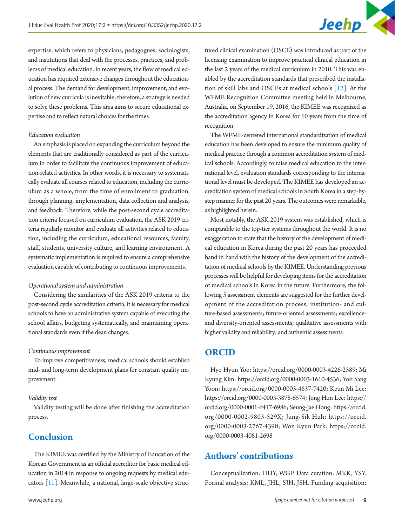

expertise, which refers to physicians, pedagogues, sociologists, and institutions that deal with the processes, practices, and problems of medical education. In recent years, the flow of medical education has required extensive changes throughout the educational process. The demand for development, improvement, and evolution of new curricula is inevitable; therefore, a strategy is needed to solve these problems. This area aims to secure educational expertise and to reflect natural choices for the times.

#### *Education evaluation*

An emphasis is placed on expanding the curriculum beyond the elements that are traditionally considered as part of the curriculum in order to facilitate the continuous improvement of education-related activities. In other words, it is necessary to systematically evaluate all courses related to education, including the curriculum as a whole, from the time of enrollment to graduation, through planning, implementation, data collection and analysis, and feedback. Therefore, while the post-second cycle accreditation criteria focused on curriculum evaluation, the ASK 2019 criteria regularly monitor and evaluate all activities related to education, including the curriculum, educational resources, faculty, staff, students, university culture, and learning environment. A systematic implementation is required to ensure a comprehensive evaluation capable of contributing to continuous improvements.

#### *Operational system and administration*

Considering the similarities of the ASK 2019 criteria to the post-second cycle accreditation criteria, it is necessary for medical schools to have an administrative system capable of executing the school affairs, budgeting systematically, and maintaining operational standards even if the dean changes.

#### *Continuous improvement*

To improve competitiveness, medical schools should establish mid- and long-term development plans for constant quality improvement.

#### *Validity test*

Validity testing will be done after finishing the accreditation process.

### **Conclusion**

The KIMEE was certified by the Ministry of Education of the Korean Government as an official accreditor for basic medical education in 2014 in response to ongoing requests by medical educators [\[11](#page-9-11)]. Meanwhile, a national, large-scale objective struclicensing examination to improve practical clinical education in the last 2 years of the medical curriculum in 2010. This was enabled by the accreditation standards that prescribed the installation of skill labs and OSCEs at medical schools [\[12](#page-9-12)]. At the WFME Recognition Committee meeting held in Melbourne, Australia, on September 19, 2016, the KIMEE was recognized as the accreditation agency in Korea for 10 years from the time of recognition. The WFME-centered international standardization of medical

tured clinical examination (OSCE) was introduced as part of the

education has been developed to ensure the minimum quality of medical practice through a common accreditation system of medical schools. Accordingly, to raise medical education to the international level, evaluation standards corresponding to the international level must be developed. The KIMEE has developed an accreditation system of medical schools in South Korea in a step-bystep manner for the past 20 years. The outcomes were remarkable, as highlighted herein.

Most notably, the ASK 2019 system was established, which is comparable to the top-tier systems throughout the world. It is no exaggeration to state that the history of the development of medical education in Korea during the past 20 years has proceeded hand in hand with the history of the development of the accreditation of medical schools by the KIMEE. Understanding previous processes will be helpful for developing items for the accreditation of medical schools in Korea in the future. Furthermore, the following 5 assessment elements are suggested for the further development of the accreditation process: institution- and culture-based assessments; future-oriented assessments; excellenceand diversity-oriented assessments; qualitative assessments with higher validity and reliability; and authentic assessments.

### **ORCID**

Hyo Hyun Yoo: [https://orcid.org/0000-0003-4226-258](http://orcid.org/0000-0003-4226-2589)9; Mi Kyung Kim: [https://orcid.org/0000-0003-1610-453](http://orcid.org/0000-0003-1610-4536)6; Yoo Sang Yoon: [https://orcid.org/0000-0003-4637-742](http://orcid.org/0000-0003-4637-7420)0; Keun Mi Lee: [https://orcid.org/0000-0003-3878-6574](http://orcid.org/0000-0003-3878-6574); Jong Hun Lee: [https://](http://orcid.org/0000-0001-6417-6986) [orcid.org/0000-0001-6417-698](http://orcid.org/0000-0001-6417-6986)6; Seung-Jae Hong: [https://orcid.](http://orcid.org/0000-0002-9803-529X) [org/0000-0002-9803-529](http://orcid.org/0000-0002-9803-529X)X; Jung-Sik Huh: [https://orcid.](http://orcid.org/0000-0003-2767-4390) [org/0000-0003-2767-4390](http://orcid.org/0000-0003-2767-4390); Won Kyun Park: [https://orcid.](http://orcid.org/0000-0003-4081-2698) [org/0000-0003-4081-269](http://orcid.org/0000-0003-4081-2698)8

### **Authors' contributions**

Conceptualization: HHY, WGP. Data curation: MKK, YSY. Formal analysis: KML, JHL, SJH, JSH. Funding acquisition: